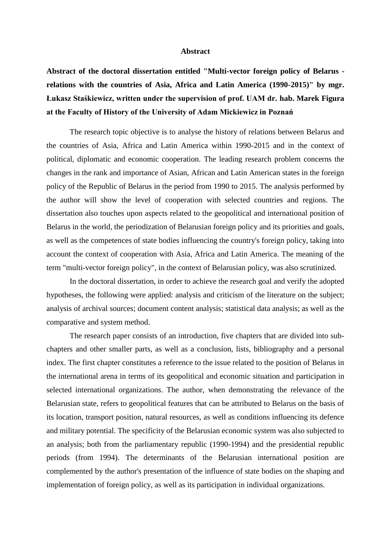## **Abstract**

**Abstract of the doctoral dissertation entitled "Multi-vector foreign policy of Belarus relations with the countries of Asia, Africa and Latin America (1990-2015)" by mgr. Łukasz Staśkiewicz, written under the supervision of prof. UAM dr. hab. Marek Figura at the Faculty of History of the University of Adam Mickiewicz in Poznań**

The research topic objective is to analyse the history of relations between Belarus and the countries of Asia, Africa and Latin America within 1990-2015 and in the context of political, diplomatic and economic cooperation. The leading research problem concerns the changes in the rank and importance of Asian, African and Latin American states in the foreign policy of the Republic of Belarus in the period from 1990 to 2015. The analysis performed by the author will show the level of cooperation with selected countries and regions. The dissertation also touches upon aspects related to the geopolitical and international position of Belarus in the world, the periodization of Belarusian foreign policy and its priorities and goals, as well as the competences of state bodies influencing the country's foreign policy, taking into account the context of cooperation with Asia, Africa and Latin America. The meaning of the term "multi-vector foreign policy", in the context of Belarusian policy, was also scrutinized.

In the doctoral dissertation, in order to achieve the research goal and verify the adopted hypotheses, the following were applied: analysis and criticism of the literature on the subject; analysis of archival sources; document content analysis; statistical data analysis; as well as the comparative and system method.

The research paper consists of an introduction, five chapters that are divided into subchapters and other smaller parts, as well as a conclusion, lists, bibliography and a personal index. The first chapter constitutes a reference to the issue related to the position of Belarus in the international arena in terms of its geopolitical and economic situation and participation in selected international organizations. The author, when demonstrating the relevance of the Belarusian state, refers to geopolitical features that can be attributed to Belarus on the basis of its location, transport position, natural resources, as well as conditions influencing its defence and military potential. The specificity of the Belarusian economic system was also subjected to an analysis; both from the parliamentary republic (1990-1994) and the presidential republic periods (from 1994). The determinants of the Belarusian international position are complemented by the author's presentation of the influence of state bodies on the shaping and implementation of foreign policy, as well as its participation in individual organizations.